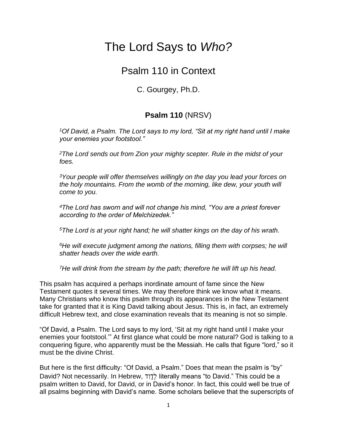## The Lord Says to *Who?*

## Psalm 110 in Context

C. Gourgey, Ph.D.

## **Psalm 110** (NRSV)

*<sup>1</sup>Of David, a Psalm. The Lord says to my lord, "Sit at my right hand until I make your enemies your footstool."* 

*<sup>2</sup>The Lord sends out from Zion your mighty scepter. Rule in the midst of your foes.* 

*<sup>3</sup>Your people will offer themselves willingly on the day you lead your forces on the holy mountains. From the womb of the morning, like dew, your youth will come to you.* 

*<sup>4</sup>The Lord has sworn and will not change his mind, "You are a priest forever according to the order of Melchizedek."* 

*<sup>5</sup>The Lord is at your right hand; he will shatter kings on the day of his wrath.* 

*<sup>6</sup>He will execute judgment among the nations, filling them with corpses; he will shatter heads over the wide earth.* 

*<sup>7</sup>He will drink from the stream by the path; therefore he will lift up his head.* 

This psalm has acquired a perhaps inordinate amount of fame since the New Testament quotes it several times. We may therefore think we know what it means. Many Christians who know this psalm through its appearances in the New Testament take for granted that it is King David talking about Jesus. This is, in fact, an extremely difficult Hebrew text, and close examination reveals that its meaning is not so simple.

"Of David, a Psalm. The Lord says to my lord, 'Sit at my right hand until I make your enemies your footstool.'" At first glance what could be more natural? God is talking to a conquering figure, who apparently must be the Messiah. He calls that figure "lord," so it must be the divine Christ.

But here is the first difficulty: "Of David, a Psalm." Does that mean the psalm is "by" David? Not necessarily. In Hebrew, לְדְוָד literally means "to David." This could be a psalm written to David, for David, or in David's honor. In fact, this could well be true of all psalms beginning with David's name. Some scholars believe that the superscripts of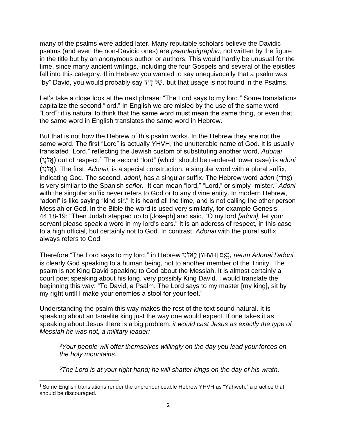many of the psalms were added later. Many reputable scholars believe the Davidic psalms (and even the non-Davidic ones) are *pseudepigraphic,* not written by the figure in the title but by an anonymous author or authors. This would hardly be unusual for the time, since many ancient writings, including the four Gospels and several of the epistles, fall into this category. If in Hebrew you wanted to say unequivocally that a psalm was "by" David, you would probably say ד ִו ָד ל ֶשׁ*,* but that usage is not found in the Psalms.

Let's take a close look at the next phrase: "The Lord says to my lord." Some translations capitalize the second "lord." In English we are misled by the use of the same word "Lord": it is natural to think that the same word must mean the same thing, or even that the same word in English translates the same word in Hebrew.

But that is not how the Hebrew of this psalm works. In the Hebrew they are not the same word. The first "Lord" is actually YHVH, the unutterable name of God. It is usually translated "Lord," reflecting the Jewish custom of substituting another word, *Adonai* (יָנֹדֲא (out of respect.<sup>1</sup> The second "lord" (which should be rendered lower case) is *adoni* (אֲדֹנִי*)*. The first, *Adonai*, is a special construction, a singular word with a plural suffix, indicating God. The second, *adoni*, has a singular suffix. The Hebrew word *adon* (אֲדוֹן) is very similar to the Spanish *señor.* It can mean "lord," "Lord," or simply "mister." *Adoni* with the singular suffix never refers to God or to any divine entity. In modern Hebrew, "adoni" is like saying "kind sir." It is heard all the time, and is not calling the other person Messiah or God. In the Bible the word is used very similarly, for example Genesis 44:18-19: "Then Judah stepped up to [Joseph] and said, "O my lord *[adoni],* let your servant please speak a word in my lord's ears." It is an address of respect, in this case to a high official, but certainly not to God. In contrast, *Adonai* with the plural suffix always refers to God.

Therefore "The Lord says to my lord," in Hebrew יִנֹאדַֽ ל] YHVH] םֻאְנ, *neum Adonai l'adoni,* is clearly God speaking to a human being, not to another member of the Trinity. The psalm is not King David speaking to God about the Messiah. It is almost certainly a court poet speaking about his king, very possibly King David. I would translate the beginning this way: "To David, a Psalm. The Lord says to my master [my king], sit by my right until I make your enemies a stool for your feet."

Understanding the psalm this way makes the rest of the text sound natural. It is speaking about an Israelite king just the way one would expect. If one takes it as speaking about Jesus there is a big problem: *it would cast Jesus as exactly the type of Messiah he was not, a military leader:*

*<sup>3</sup>Your people will offer themselves willingly on the day you lead your forces on the holy mountains.*

*<sup>5</sup>The Lord is at your right hand; he will shatter kings on the day of his wrath.* 

 $1$  Some English translations render the unpronounceable Hebrew YHVH as "Yahweh," a practice that should be discouraged.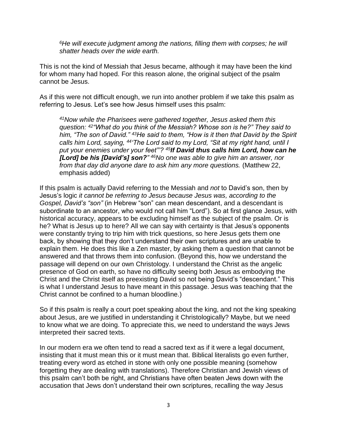*<sup>6</sup>He will execute judgment among the nations, filling them with corpses; he will shatter heads over the wide earth.* 

This is not the kind of Messiah that Jesus became, although it may have been the kind for whom many had hoped. For this reason alone, the original subject of the psalm cannot be Jesus.

As if this were not difficult enough, we run into another problem if we take this psalm as referring to Jesus. Let's see how Jesus himself uses this psalm:

*<sup>41</sup>Now while the Pharisees were gathered together, Jesus asked them this question: <sup>42</sup>"What do you think of the Messiah? Whose son is he?" They said to him, "The son of David." <sup>43</sup>He said to them, "How is it then that David by the Spirit calls him Lord, saying, <sup>44</sup>'The Lord said to my Lord, "Sit at my right hand, until I put your enemies under your feet"'? <sup>45</sup>If David thus calls him Lord, how can he [Lord] be his [David's] son?" <sup>46</sup>No one was able to give him an answer, nor from that day did anyone dare to ask him any more questions.* (Matthew 22, emphasis added)

If this psalm is actually David referring to the Messiah and *not* to David's son, then by Jesus's logic *it cannot be referring to Jesus because Jesus was, according to the Gospel, David's "son"* (in Hebrew "son" can mean descendant, and a descendant is subordinate to an ancestor, who would not call him "Lord"). So at first glance Jesus, with historical accuracy, appears to be excluding himself as the subject of the psalm. Or is he? What is Jesus up to here? All we can say with certainty is that Jesus's opponents were constantly trying to trip him with trick questions, so here Jesus gets them one back, by showing that they don't understand their own scriptures and are unable to explain them. He does this like a Zen master, by asking them a question that cannot be answered and that throws them into confusion. (Beyond this, how we understand the passage will depend on our own Christology. I understand the Christ as the angelic presence of God on earth, so have no difficulty seeing both Jesus as embodying the Christ and the Christ itself as preexisting David so not being David's "descendant." This is what I understand Jesus to have meant in this passage. Jesus was teaching that the Christ cannot be confined to a human bloodline.)

So if this psalm is really a court poet speaking about the king, and not the king speaking about Jesus, are we justified in understanding it Christologically? Maybe, but we need to know what we are doing. To appreciate this, we need to understand the ways Jews interpreted their sacred texts.

In our modern era we often tend to read a sacred text as if it were a legal document, insisting that it must mean this or it must mean that. Biblical literalists go even further, treating every word as etched in stone with only one possible meaning (somehow forgetting they are dealing with translations). Therefore Christian and Jewish views of this psalm can't both be right, and Christians have often beaten Jews down with the accusation that Jews don't understand their own scriptures, recalling the way Jesus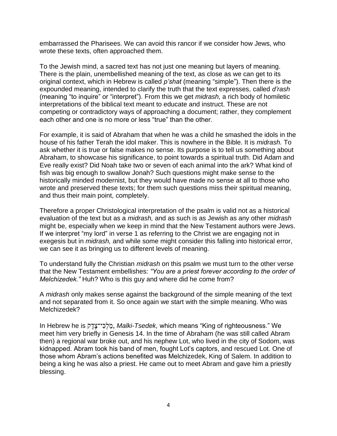embarrassed the Pharisees. We can avoid this rancor if we consider how Jews, who wrote these texts, often approached them.

To the Jewish mind, a sacred text has not just one meaning but layers of meaning. There is the plain, unembellished meaning of the text, as close as we can get to its original context, which in Hebrew is called *p'shat* (meaning "simple"). Then there is the expounded meaning, intended to clarify the truth that the text expresses, called *d'rash* (meaning "to inquire" or "interpret"). From this we get *midrash,* a rich body of homiletic interpretations of the biblical text meant to educate and instruct. These are not competing or contradictory ways of approaching a document; rather, they complement each other and one is no more or less "true" than the other.

For example, it is said of Abraham that when he was a child he smashed the idols in the house of his father Terah the idol maker. This is nowhere in the Bible. It is *midrash.* To ask whether it is true or false makes no sense. Its purpose is to tell us something about Abraham, to showcase his significance, to point towards a spiritual truth. Did Adam and Eve really exist? Did Noah take two or seven of each animal into the ark? What kind of fish was big enough to swallow Jonah? Such questions might make sense to the historically minded modernist, but they would have made no sense at all to those who wrote and preserved these texts; for them such questions miss their spiritual meaning, and thus their main point, completely.

Therefore a proper Christological interpretation of the psalm is valid not as a historical evaluation of the text but as a *midrash,* and as such is as Jewish as any other *midrash* might be, especially when we keep in mind that the New Testament authors were Jews. If we interpret "my lord" in verse 1 as referring to the Christ we are engaging not in exegesis but in *midrash,* and while some might consider this falling into historical error, we can see it as bringing us to different levels of meaning.

To understand fully the Christian *midrash* on this psalm we must turn to the other verse that the New Testament embellishes: *"You are a priest forever according to the order of Melchizedek."* Huh? Who is this guy and where did he come from?

A *midrash* only makes sense against the background of the simple meaning of the text and not separated from it. So once again we start with the simple meaning. Who was Melchizedek?

In Hebrew he is ק ֶדֶי־צ ִכְל מ, *Malki-Tsedek,* which means "King of righteousness." We meet him very briefly in Genesis 14. In the time of Abraham (he was still called Abram then) a regional war broke out, and his nephew Lot, who lived in the city of Sodom, was kidnapped. Abram took his band of men, fought Lot's captors, and rescued Lot. One of those whom Abram's actions benefited was Melchizedek, King of Salem. In addition to being a king he was also a priest. He came out to meet Abram and gave him a priestly blessing.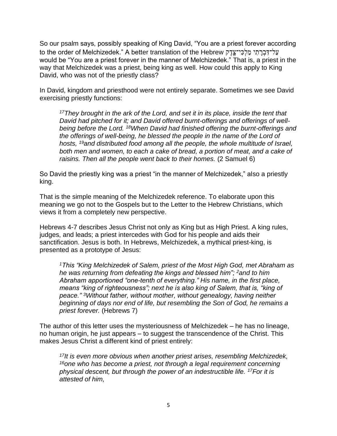So our psalm says, possibly speaking of King David, "You are a priest forever according עַל־דָּבְרְתֵי מֲלְכָּי־צֶדֶק to the order of Melchizedek." A better translation of the Hebrew would be "You are a priest forever in the manner of Melchizedek." That is, a priest in the way that Melchizedek was a priest, being king as well. How could this apply to King David, who was not of the priestly class?

In David, kingdom and priesthood were not entirely separate. Sometimes we see David exercising priestly functions:

*<sup>17</sup>They brought in the ark of the Lord, and set it in its place, inside the tent that David had pitched for it; and David offered burnt-offerings and offerings of wellbeing before the Lord. <sup>18</sup>When David had finished offering the burnt-offerings and the offerings of well-being, he blessed the people in the name of the Lord of hosts, <sup>19</sup>and distributed food among all the people, the whole multitude of Israel, both men and women, to each a cake of bread, a portion of meat, and a cake of raisins. Then all the people went back to their homes.* (2 Samuel 6)

So David the priestly king was a priest "in the manner of Melchizedek," also a priestly king.

That is the simple meaning of the Melchizedek reference. To elaborate upon this meaning we go not to the Gospels but to the Letter to the Hebrew Christians, which views it from a completely new perspective.

Hebrews 4-7 describes Jesus Christ not only as King but as High Priest. A king rules, judges, and leads; a priest intercedes with God for his people and aids their sanctification. Jesus is both. In Hebrews, Melchizedek, a mythical priest-king, is presented as a prototype of Jesus:

*<sup>1</sup>This "King Melchizedek of Salem, priest of the Most High God, met Abraham as he was returning from defeating the kings and blessed him"; <sup>2</sup>and to him Abraham apportioned "one-tenth of everything." His name, in the first place, means "king of righteousness"; next he is also king of Salem, that is, "king of peace." <sup>3</sup>Without father, without mother, without genealogy, having neither beginning of days nor end of life, but resembling the Son of God, he remains a priest forever.* (Hebrews 7)

The author of this letter uses the mysteriousness of Melchizedek – he has no lineage, no human origin, he just appears – to suggest the transcendence of the Christ. This makes Jesus Christ a different kind of priest entirely:

*<sup>17</sup>It is even more obvious when another priest arises, resembling Melchizedek, <sup>16</sup>one who has become a priest, not through a legal requirement concerning physical descent, but through the power of an indestructible life. <sup>17</sup>For it is attested of him,*